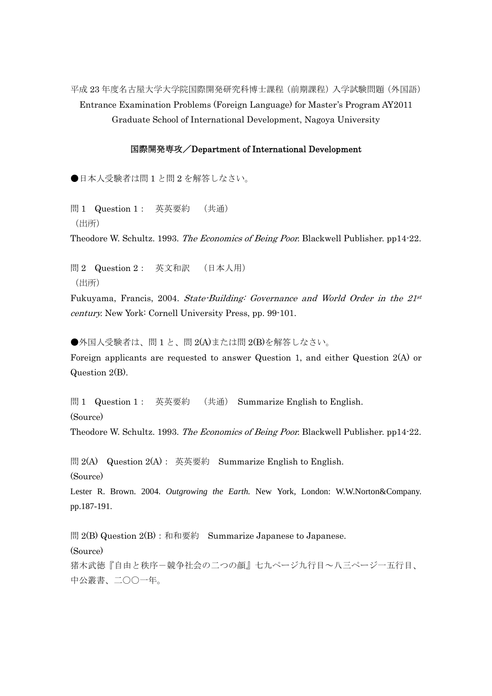平成 23 年度名古屋大学大学院国際開発研究科博士課程(前期課程)入学試験問題(外国語) Entrance Examination Problems (Foreign Language) for Master's Program AY2011 Graduate School of International Development, Nagoya University

## 国際開発専攻/Department of International Development

●日本人受験者は問1と問2を解答しなさい。

問 1 Question 1: 英英要約 (共通) (出所)

Theodore W. Schultz. 1993. The Economics of Being Poor. Blackwell Publisher. pp14-22.

問 2 Question 2: 英文和訳 (日本人用) (出所)

Fukuyama, Francis, 2004. State-Building: Governance and World Order in the 21st century. New York: Cornell University Press, pp. 99-101.

●外国人受験者は、問1と、問2(A)または問2(B)を解答しなさい。 Foreign applicants are requested to answer Question 1, and either Question 2(A) or Question 2(B).

問 1 Question 1: 英英要約 (共通) Summarize English to English. (Source) Theodore W. Schultz. 1993. The Economics of Being Poor. Blackwell Publisher. pp14-22.

問 2(A) Question 2(A): 英英要約 Summarize English to English. (Source)

Lester R. Brown. 2004. *Outgrowing the Earth.* New York, London: W.W.Norton&Company. pp.187-191.

問 2(B) Question 2(B): 和和要約 Summarize Japanese to Japanese. (Source) 猪木武徳『自由と秩序-競争社会の二つの顔』七九ページ九行目~八三ページ一五行目、 中公叢書、二〇〇一年。